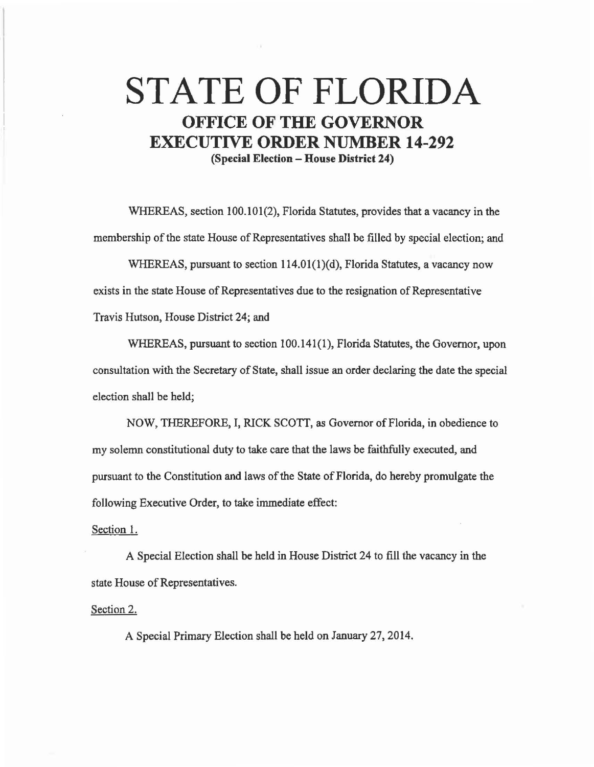## **STATE OF FLORIDA OFFICE OF THE GOVERNOR EXECUTIVE ORDER NUMBER 14-292 (Special Election - House District 24)**

WHEREAS, section 100.101(2), Florida Statutes, provides that a vacancy in the membership of the state House of Representatives shall be filled by special election; and

WHEREAS, pursuant to section  $114.01(1)(d)$ , Florida Statutes, a vacancy now exists in the state House of Representatives due to the resignation of Representative Travis Hutson, House District 24; and

WHEREAS, pursuant to section 100.141(1), Florida Statutes, the Governor, upon consultation with the Secretary of State, shall issue an order declaring the date the special election shall be held;

NOW, THEREFORE, I, RICK SCOTI, as Governor of Florida, in obedience to my solemn constitutional duty to take care that the laws be faithfully executed, and pursuant to the Constitution and laws of the State of Florida, do hereby promulgate the following Executive Order, to take immediate effect:

## Section I.

A Special Election shall be held in House District 24 to fill the vacancy in the state House of Representatives.

Section 2.

A Special Primary Election shall be held on January 27, 2014.